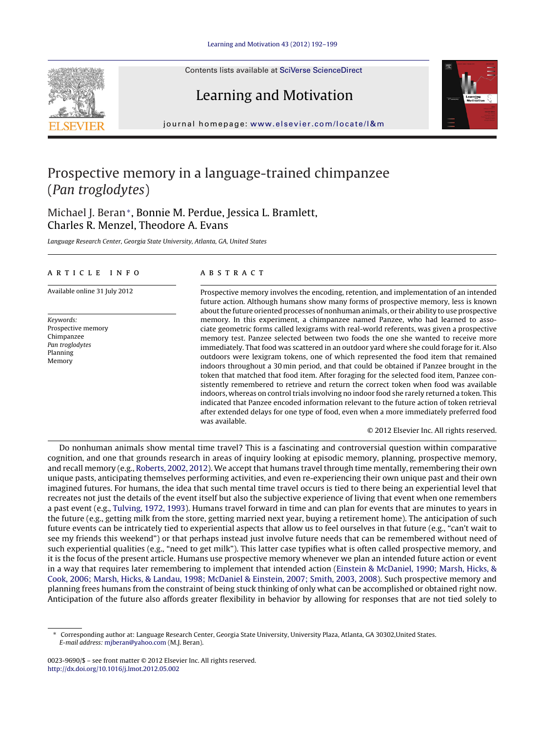Contents lists available at SciVerse [ScienceDirect](http://www.sciencedirect.com/science/journal/00239690)

# Learning and Motivation

journal homepage: [www.elsevier.com/locate/l&m](http://www.elsevier.com/locate/l&m)

### Prospective memory in a language-trained chimpanzee (Pan troglodytes)

### Michael J. Beran∗, Bonnie M. Perdue, Jessica L. Bramlett, Charles R. Menzel, Theodore A. Evans

Language Research Center, Georgia State University, Atlanta, GA, United States

#### a r t i c l e i n f o

Available online 31 July 2012

Keywords: Prospective memory Chimpanzee Pan troglodytes Planning Memory

#### a b s t r a c t

Prospective memory involves the encoding, retention, and implementation of an intended future action. Although humans show many forms of prospective memory, less is known about the future oriented processes of nonhuman animals, or their ability to use prospective memory. In this experiment, a chimpanzee named Panzee, who had learned to associate geometric forms called lexigrams with real-world referents, was given a prospective memory test. Panzee selected between two foods the one she wanted to receive more immediately. That food was scattered in an outdoor yard where she could forage for it. Also outdoors were lexigram tokens, one of which represented the food item that remained indoors throughout a 30 min period, and that could be obtained if Panzee brought in the token that matched that food item. After foraging for the selected food item, Panzee consistently remembered to retrieve and return the correct token when food was available indoors, whereas on control trials involving no indoor food she rarely returned a token. This indicated that Panzee encoded information relevant to the future action of token retrieval after extended delays for one type of food, even when a more immediately preferred food was available.

© 2012 Elsevier Inc. All rights reserved.

Do nonhuman animals show mental time travel? This is a fascinating and controversial question within comparative cognition, and one that grounds research in areas of inquiry looking at episodic memory, planning, prospective memory, and recall memory (e.g., [Roberts,](#page--1-0) [2002,](#page--1-0) [2012\).](#page--1-0) We accept that humans travel through time mentally, remembering their own unique pasts, anticipating themselves performing activities, and even re-experiencing their own unique past and their own imagined futures. For humans, the idea that such mental time travel occurs is tied to there being an experiential level that recreates not just the details of the event itself but also the subjective experience of living that event when one remembers a past event (e.g., [Tulving,](#page--1-0) [1972,](#page--1-0) [1993\).](#page--1-0) Humans travel forward in time and can plan for events that are minutes to years in the future (e.g., getting milk from the store, getting married next year, buying a retirement home). The anticipation of such future events can be intricately tied to experiential aspects that allow us to feel ourselves in that future (e.g., "can't wait to see my friends this weekend") or that perhaps instead just involve future needs that can be remembered without need of such experiential qualities (e.g., "need to get milk"). This latter case typifies what is often called prospective memory, and it is the focus of the present article. Humans use prospective memory whenever we plan an intended future action or event in a way that requires later remembering to implement that intended action ([Einstein](#page--1-0) [&](#page--1-0) [McDaniel,](#page--1-0) [1990;](#page--1-0) [Marsh,](#page--1-0) [Hicks,](#page--1-0) [&](#page--1-0) [Cook,](#page--1-0) [2006;](#page--1-0) [Marsh,](#page--1-0) [Hicks,](#page--1-0) [&](#page--1-0) [Landau,](#page--1-0) [1998;](#page--1-0) [McDaniel](#page--1-0) [&](#page--1-0) [Einstein,](#page--1-0) [2007;](#page--1-0) [Smith,](#page--1-0) [2003,](#page--1-0) [2008\).](#page--1-0) Such prospective memory and planning frees humans from the constraint of being stuck thinking of only what can be accomplished or obtained right now. Anticipation of the future also affords greater flexibility in behavior by allowing for responses that are not tied solely to





<sup>∗</sup> Corresponding author at: Language Research Center, Georgia State University, University Plaza, Atlanta, GA 30302,United States. E-mail address: [mjberan@yahoo.com](mailto:mjberan@yahoo.com) (M.J. Beran).

<sup>0023-9690/\$</sup> – see front matter © 2012 Elsevier Inc. All rights reserved. [http://dx.doi.org/10.1016/j.lmot.2012.05.002](dx.doi.org/10.1016/j.lmot.2012.05.002)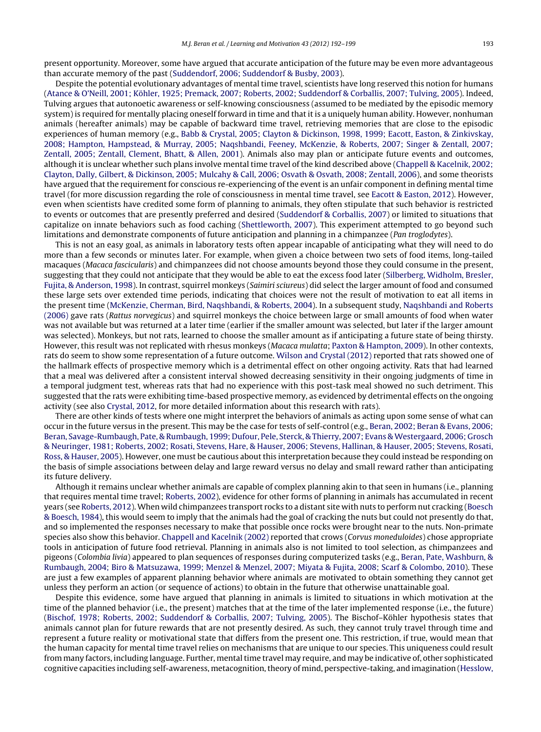present opportunity. Moreover, some have argued that accurate anticipation of the future may be even more advantageous than accurate memory of the past ([Suddendorf,](#page--1-0) [2006;](#page--1-0) [Suddendorf](#page--1-0) [&](#page--1-0) [Busby,](#page--1-0) [2003\).](#page--1-0)

Despite the potential evolutionary advantages of mental time travel, scientists have long reserved this notion for humans [\(Atance](#page--1-0) [&](#page--1-0) [O'Neill,](#page--1-0) [2001;](#page--1-0) [Köhler,](#page--1-0) [1925;](#page--1-0) [Premack,](#page--1-0) [2007;](#page--1-0) [Roberts,](#page--1-0) [2002;](#page--1-0) [Suddendorf](#page--1-0) [&](#page--1-0) [Corballis,](#page--1-0) [2007;](#page--1-0) [Tulving,](#page--1-0) [2005\).](#page--1-0) Indeed, Tulving argues that autonoetic awareness or self-knowing consciousness (assumed to be mediated by the episodic memory system) is required for mentally placing oneself forward in time and that it is a uniquely human ability. However, nonhuman animals (hereafter animals) may be capable of backward time travel, retrieving memories that are close to the episodic experiences of human memory (e.g., [Babb](#page--1-0) [&](#page--1-0) [Crystal,](#page--1-0) [2005;](#page--1-0) [Clayton](#page--1-0) [&](#page--1-0) [Dickinson,](#page--1-0) [1998,](#page--1-0) [1999;](#page--1-0) [Eacott,](#page--1-0) [Easton,](#page--1-0) [&](#page--1-0) [Zinkivskay,](#page--1-0) [2008;](#page--1-0) [Hampton,](#page--1-0) [Hampstead,](#page--1-0) [&](#page--1-0) [Murray,](#page--1-0) [2005;](#page--1-0) [Naqshbandi,](#page--1-0) [Feeney,](#page--1-0) [McKenzie,](#page--1-0) [&](#page--1-0) [Roberts,](#page--1-0) [2007;](#page--1-0) [Singer](#page--1-0) [&](#page--1-0) [Zentall,](#page--1-0) [2007;](#page--1-0) [Zentall,](#page--1-0) [2005;](#page--1-0) [Zentall,](#page--1-0) [Clement,](#page--1-0) [Bhatt,](#page--1-0) [&](#page--1-0) [Allen,](#page--1-0) [2001\).](#page--1-0) Animals also may plan or anticipate future events and outcomes, although it is unclear whether such plans involve mental time travel of the kind described above ([Chappell](#page--1-0) [&](#page--1-0) [Kacelnik,](#page--1-0) [2002;](#page--1-0) [Clayton,](#page--1-0) [Dally,](#page--1-0) [Gilbert,](#page--1-0) [&](#page--1-0) [Dickinson,](#page--1-0) [2005;](#page--1-0) [Mulcahy](#page--1-0) [&](#page--1-0) [Call,](#page--1-0) [2006;](#page--1-0) [Osvath](#page--1-0) [&](#page--1-0) [Osvath,](#page--1-0) [2008;](#page--1-0) [Zentall,](#page--1-0) [2006\),](#page--1-0) and some theorists have argued that the requirement for conscious re-experiencing of the event is an unfair component in defining mental time travel (for more discussion regarding the role of consciousness in mental time travel, see [Eacott](#page--1-0) [&](#page--1-0) [Easton,](#page--1-0) [2012\).](#page--1-0) However, even when scientists have credited some form of planning to animals, they often stipulate that such behavior is restricted to events or outcomes that are presently preferred and desired ([Suddendorf](#page--1-0) [&](#page--1-0) [Corballis,](#page--1-0) [2007\)](#page--1-0) or limited to situations that capitalize on innate behaviors such as food caching [\(Shettleworth,](#page--1-0) [2007\).](#page--1-0) This experiment attempted to go beyond such limitations and demonstrate components of future anticipation and planning in a chimpanzee (Pan troglodytes).

This is not an easy goal, as animals in laboratory tests often appear incapable of anticipating what they will need to do more than a few seconds or minutes later. For example, when given a choice between two sets of food items, long-tailed macaques (Macaca fascicularis) and chimpanzees did not choose amounts beyond those they could consume in the present, suggesting that they could not anticipate that they would be able to eat the excess food later [\(Silberberg,](#page--1-0) [Widholm,](#page--1-0) [Bresler,](#page--1-0) [Fujita,](#page--1-0) [&](#page--1-0) [Anderson,](#page--1-0) [1998\).](#page--1-0) In contrast, squirrel monkeys (Saimiri sciureus) did select the larger amount of food and consumed these large sets over extended time periods, indicating that choices were not the result of motivation to eat all items in the present time ([McKenzie,](#page--1-0) [Cherman,](#page--1-0) [Bird,](#page--1-0) [Naqshbandi,](#page--1-0) [&](#page--1-0) [Roberts,](#page--1-0) [2004\).](#page--1-0) In a subsequent study, [Naqshbandi](#page--1-0) [and](#page--1-0) [Roberts](#page--1-0) [\(2006\)](#page--1-0) gave rats (Rattus norvegicus) and squirrel monkeys the choice between large or small amounts of food when water was not available but was returned at a later time (earlier if the smaller amount was selected, but later if the larger amount was selected). Monkeys, but not rats, learned to choose the smaller amount as if anticipating a future state of being thirsty. However, this result was not replicated with rhesus monkeys (Macaca mulatta; [Paxton](#page--1-0) [&](#page--1-0) [Hampton,](#page--1-0) [2009\).](#page--1-0) In other contexts, rats do seem to show some representation of a future outcome. [Wilson](#page--1-0) [and](#page--1-0) [Crystal](#page--1-0) [\(2012\)](#page--1-0) reported that rats showed one of the hallmark effects of prospective memory which is a detrimental effect on other ongoing activity. Rats that had learned that a meal was delivered after a consistent interval showed decreasing sensitivity in their ongoing judgments of time in a temporal judgment test, whereas rats that had no experience with this post-task meal showed no such detriment. This suggested that the rats were exhibiting time-based prospective memory, as evidenced by detrimental effects on the ongoing activity (see also [Crystal,](#page--1-0) [2012,](#page--1-0) for more detailed information about this research with rats).

There are other kinds of tests where one might interpret the behaviors of animals as acting upon some sense of what can occur in the future versus in the present. This may be the case for tests of self-control (e.g., [Beran,](#page--1-0) [2002;](#page--1-0) [Beran](#page--1-0) [&](#page--1-0) [Evans,](#page--1-0) [2006;](#page--1-0) [Beran,](#page--1-0) [Savage-Rumbaugh,](#page--1-0) [Pate,](#page--1-0) [&](#page--1-0) [Rumbaugh,](#page--1-0) [1999;](#page--1-0) [Dufour,](#page--1-0) [Pele,](#page--1-0) [Sterck,](#page--1-0) & [Thierry,](#page--1-0) [2007;](#page--1-0) [Evans](#page--1-0) & Westergaard, [2006;](#page--1-0) [Grosch](#page--1-0) [&](#page--1-0) [Neuringer,](#page--1-0) [1981;](#page--1-0) [Roberts,](#page--1-0) [2002;](#page--1-0) [Rosati,](#page--1-0) [Stevens,](#page--1-0) [Hare,](#page--1-0) [&](#page--1-0) [Hauser,](#page--1-0) [2006;](#page--1-0) [Stevens,](#page--1-0) [Hallinan,](#page--1-0) [&](#page--1-0) [Hauser,](#page--1-0) [2005;](#page--1-0) [Stevens,](#page--1-0) [Rosati,](#page--1-0) [Ross,](#page--1-0) [&](#page--1-0) [Hauser,](#page--1-0) [2005\).](#page--1-0) However, one must be cautious about this interpretation because they could instead be responding on the basis of simple associations between delay and large reward versus no delay and small reward rather than anticipating its future delivery.

Although it remains unclear whether animals are capable of complex planning akin to that seen in humans (i.e., planning that requires mental time travel; [Roberts,](#page--1-0) [2002\),](#page--1-0) evidence for other forms of planning in animals has accumulated in recent years (see [Roberts,](#page--1-0) [2012\).](#page--1-0) When wild chimpanzees transport rocks to a distant site with nuts to perform nut cracking ([Boesch](#page--1-0) [&](#page--1-0) [Boesch,](#page--1-0) [1984\),](#page--1-0) this would seem to imply that the animals had the goal of cracking the nuts but could not presently do that, and so implemented the responses necessary to make that possible once rocks were brought near to the nuts. Non-primate species also show this behavior. [Chappell](#page--1-0) [and](#page--1-0) [Kacelnik](#page--1-0) [\(2002\)](#page--1-0) reported that crows (Corvus moneduloides) chose appropriate tools in anticipation of future food retrieval. Planning in animals also is not limited to tool selection, as chimpanzees and pigeons (Colombia livia) appeared to plan sequences of responses during computerized tasks (e.g., [Beran,](#page--1-0) [Pate,](#page--1-0) [Washburn,](#page--1-0) [&](#page--1-0) [Rumbaugh,](#page--1-0) [2004;](#page--1-0) [Biro](#page--1-0) [&](#page--1-0) [Matsuzawa,](#page--1-0) [1999;](#page--1-0) [Menzel](#page--1-0) [&](#page--1-0) [Menzel,](#page--1-0) [2007;](#page--1-0) [Miyata](#page--1-0) [&](#page--1-0) [Fujita,](#page--1-0) [2008;](#page--1-0) [Scarf](#page--1-0) [&](#page--1-0) [Colombo,](#page--1-0) [2010\).](#page--1-0) These are just a few examples of apparent planning behavior where animals are motivated to obtain something they cannot get unless they perform an action (or sequence of actions) to obtain in the future that otherwise unattainable goal.

Despite this evidence, some have argued that planning in animals is limited to situations in which motivation at the time of the planned behavior (i.e., the present) matches that at the time of the later implemented response (i.e., the future) [\(Bischof,](#page--1-0) [1978;](#page--1-0) [Roberts,](#page--1-0) [2002;](#page--1-0) [Suddendorf](#page--1-0) [&](#page--1-0) [Corballis,](#page--1-0) [2007;](#page--1-0) [Tulving,](#page--1-0) [2005\).](#page--1-0) The Bischof–Köhler hypothesis states that animals cannot plan for future rewards that are not presently desired. As such, they cannot truly travel through time and represent a future reality or motivational state that differs from the present one. This restriction, if true, would mean that the human capacity for mental time travel relies on mechanisms that are unique to our species. This uniqueness could result from many factors, including language. Further, mentaltime travel may require, and may be indicative of, other sophisticated cognitive capacities including self-awareness, metacognition,theory of mind, perspective-taking, and imagination [\(Hesslow,](#page--1-0)